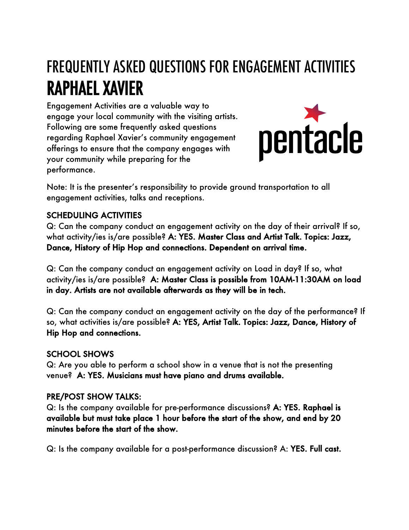# FREQUENTLY ASKED QUESTIONS FOR ENGAGEMENT ACTIVITIES RAPHAEL XAVIER

Engagement Activities are a valuable way to engage your local community with the visiting artists. Following are some frequently asked questions regarding Raphael Xavier's community engagement offerings to ensure that the company engages with your community while preparing for the performance.



Note: It is the presenter's responsibility to provide ground transportation to all engagement activities, talks and receptions.

### SCHEDULING ACTIVITIES

Q: Can the company conduct an engagement activity on the day of their arrival? If so, what activity/ies is/are possible? A: YES. Master Class and Artist Talk. Topics: Jazz, Dance, History of Hip Hop and connections. Dependent on arrival time.

Q: Can the company conduct an engagement activity on Load in day? If so, what activity/ies is/are possible? A: Master Class is possible from 10AM-11:30AM on load in day. Artists are not available afterwards as they will be in tech.

Q: Can the company conduct an engagement activity on the day of the performance? If so, what activities is/are possible? A: YES, Artist Talk. Topics: Jazz, Dance, History of Hip Hop and connections.

### SCHOOL SHOWS

Q: Are you able to perform a school show in a venue that is not the presenting venue? A: YES. Musicians must have piano and drums available.

## PRE/POST SHOW TALKS:

Q: Is the company available for pre-performance discussions? A: YES. Raphael is available but must take place 1 hour before the start of the show, and end by 20 minutes before the start of the show.

Q: Is the company available for a post-performance discussion? A: YES. Full cast.